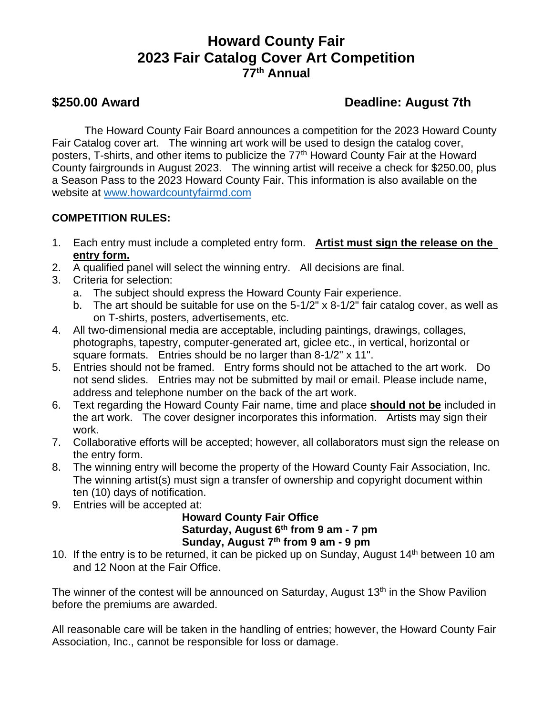# **Howard County Fair 2023 Fair Catalog Cover Art Competition 77 th Annual**

## **\$250.00 Award Deadline: August 7th**

The Howard County Fair Board announces a competition for the 2023 Howard County Fair Catalog cover art. The winning art work will be used to design the catalog cover, posters, T-shirts, and other items to publicize the 77<sup>th</sup> Howard County Fair at the Howard County fairgrounds in August 2023. The winning artist will receive a check for \$250.00, plus a Season Pass to the 2023 Howard County Fair. This information is also available on the website at [www.howardcountyfairmd.com](http://www.howardcountyfairmd.com/)

### **COMPETITION RULES:**

- 1. Each entry must include a completed entry form. **Artist must sign the release on the entry form.**
- 2. A qualified panel will select the winning entry. All decisions are final.
- 3. Criteria for selection:
	- a. The subject should express the Howard County Fair experience.
	- b. The art should be suitable for use on the 5-1/2" x 8-1/2" fair catalog cover, as well as on T-shirts, posters, advertisements, etc.
- 4. All two-dimensional media are acceptable, including paintings, drawings, collages, photographs, tapestry, computer-generated art, giclee etc., in vertical, horizontal or square formats. Entries should be no larger than 8-1/2" x 11".
- 5. Entries should not be framed. Entry forms should not be attached to the art work. Do not send slides. Entries may not be submitted by mail or email. Please include name, address and telephone number on the back of the art work.
- 6. Text regarding the Howard County Fair name, time and place **should not be** included in the art work. The cover designer incorporates this information. Artists may sign their work.
- 7. Collaborative efforts will be accepted; however, all collaborators must sign the release on the entry form.
- 8. The winning entry will become the property of the Howard County Fair Association, Inc. The winning artist(s) must sign a transfer of ownership and copyright document within ten (10) days of notification.
- 9. Entries will be accepted at:

#### **Howard County Fair Office Saturday, August 6 th from 9 am - 7 pm Sunday, August 7 th from 9 am - 9 pm**

10. If the entry is to be returned, it can be picked up on Sunday, August 14<sup>th</sup> between 10 am and 12 Noon at the Fair Office.

The winner of the contest will be announced on Saturday, August 13<sup>th</sup> in the Show Pavilion before the premiums are awarded.

All reasonable care will be taken in the handling of entries; however, the Howard County Fair Association, Inc., cannot be responsible for loss or damage.